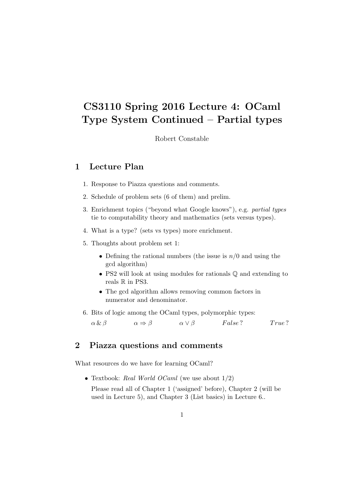# CS3110 Spring 2016 Lecture 4: OCaml Type System Continued – Partial types

Robert Constable

### 1 Lecture Plan

- 1. Response to Piazza questions and comments.
- 2. Schedule of problem sets (6 of them) and prelim.
- 3. Enrichment topics ("beyond what Google knows"), e.g. partial types tie to computability theory and mathematics (sets versus types).
- 4. What is a type? (sets vs types) more enrichment.
- 5. Thoughts about problem set 1:
	- Defining the rational numbers (the issue is  $n/0$  and using the gcd algorithm)
	- PS2 will look at using modules for rationals Q and extending to reals  $\mathbb R$  in PS3.
	- The gcd algorithm allows removing common factors in numerator and denominator.
- 6. Bits of logic among the OCaml types, polymorphic types:

 $\alpha \& \beta \qquad \alpha \Rightarrow \beta \qquad \alpha \vee \beta \qquad False?$  True?

#### 2 Piazza questions and comments

What resources do we have for learning OCaml?

• Textbook: Real World OCaml (we use about  $1/2$ )

Please read all of Chapter 1 ('assigned' before), Chapter 2 (will be used in Lecture 5), and Chapter 3 (List basics) in Lecture 6..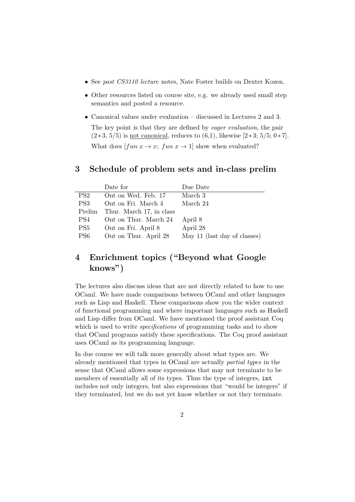- See past CS3110 lecture notes, Nate Foster builds on Dexter Kozen.
- Other resources listed on course site, e.g. we already used small step semantics and posted a resource.
- Canonical values under evaluation discussed in Lectures 2 and 3.

The key point is that they are defined by eager evaluation, the pair  $(2 * 3, 5/5)$  is not canonical, reduces to  $(6,1)$ , likewise  $[2 * 3; 5/5; 0 * 7]$ . What does  $[fun x \rightarrow x; fun x \rightarrow 1]$  show when evaluated?

#### 3 Schedule of problem sets and in-class prelim

|                 | Date for                 | Due Date                     |
|-----------------|--------------------------|------------------------------|
| PS2             | Out on Wed. Feb. 17      | March 3                      |
| PS3             | Out on Fri. March 4      | March 24                     |
| Prelim          | Thur. March 17, in class |                              |
| PS4             | Out on Thur. March 24    | April 8                      |
| PS5             | Out on Fri. April 8      | April 28                     |
| PS <sub>6</sub> | Out on Thur. April 28    | May 11 (last day of classes) |

## 4 Enrichment topics ("Beyond what Google knows")

The lectures also discuss ideas that are not directly related to how to use OCaml. We have made comparisons between OCaml and other languages such as Lisp and Haskell. These comparisons show you the wider context of functional programming and where important languages such as Haskell and Lisp differ from OCaml. We have mentioned the proof assistant Coq which is used to write *specifications* of programming tasks and to show that OCaml programs satisfy these specifications. The Coq proof assistant uses OCaml as its programming language.

In due course we will talk more generally about what types are. We already mentioned that types in OCaml are actually partial types in the sense that OCaml allows some expressions that may not terminate to be members of essentially all of its types. Thus the type of integers, int includes not only integers, but also expressions that "would be integers" if they terminated, but we do not yet know whether or not they terminate.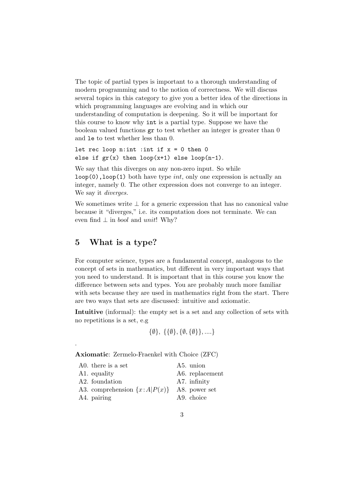The topic of partial types is important to a thorough understanding of modern programming and to the notion of correctness. We will discuss several topics in this category to give you a better idea of the directions in which programming languages are evolving and in which our understanding of computation is deepening. So it will be important for this course to know why int is a partial type. Suppose we have the boolean valued functions gr to test whether an integer is greater than 0 and le to test whether less than 0.

```
let rec loop n: int : int if x = 0 then 0
else if gr(x) then loop(x+1) else loop(n-1).
```
We say that this diverges on any non-zero input. So while  $loop(0)$ ,  $loop(1)$  both have type *int*, only one expression is actually an integer, namely 0. The other expression does not converge to an integer. We say it *diverges*.

We sometimes write  $\perp$  for a generic expression that has no canonical value because it "diverges," i.e. its computation does not terminate. We can even find  $\perp$  in *bool* and *unit*! Why?

#### 5 What is a type?

.

For computer science, types are a fundamental concept, analogous to the concept of sets in mathematics, but different in very important ways that you need to understand. It is important that in this course you know the difference between sets and types. You are probably much more familiar with sets because they are used in mathematics right from the start. There are two ways that sets are discussed: intuitive and axiomatic.

Intuitive (informal): the empty set is a set and any collection of sets with no repetitions is a set, e.g

$$
\{\emptyset\}, \{\{\emptyset\}, \{\emptyset, \{\emptyset\}\}, \dots\}
$$

Axiomatic: Zermelo-Fraenkel with Choice (ZFC)

| A0. there is a set                  | A5. union               |
|-------------------------------------|-------------------------|
| A1. equality                        | A6. replacement         |
| A2. foundation                      | A7. infinity            |
| A3. comprehension $\{x : A P(x)\}\$ | A8. power set           |
| A4. pairing                         | A <sub>9</sub> . choice |